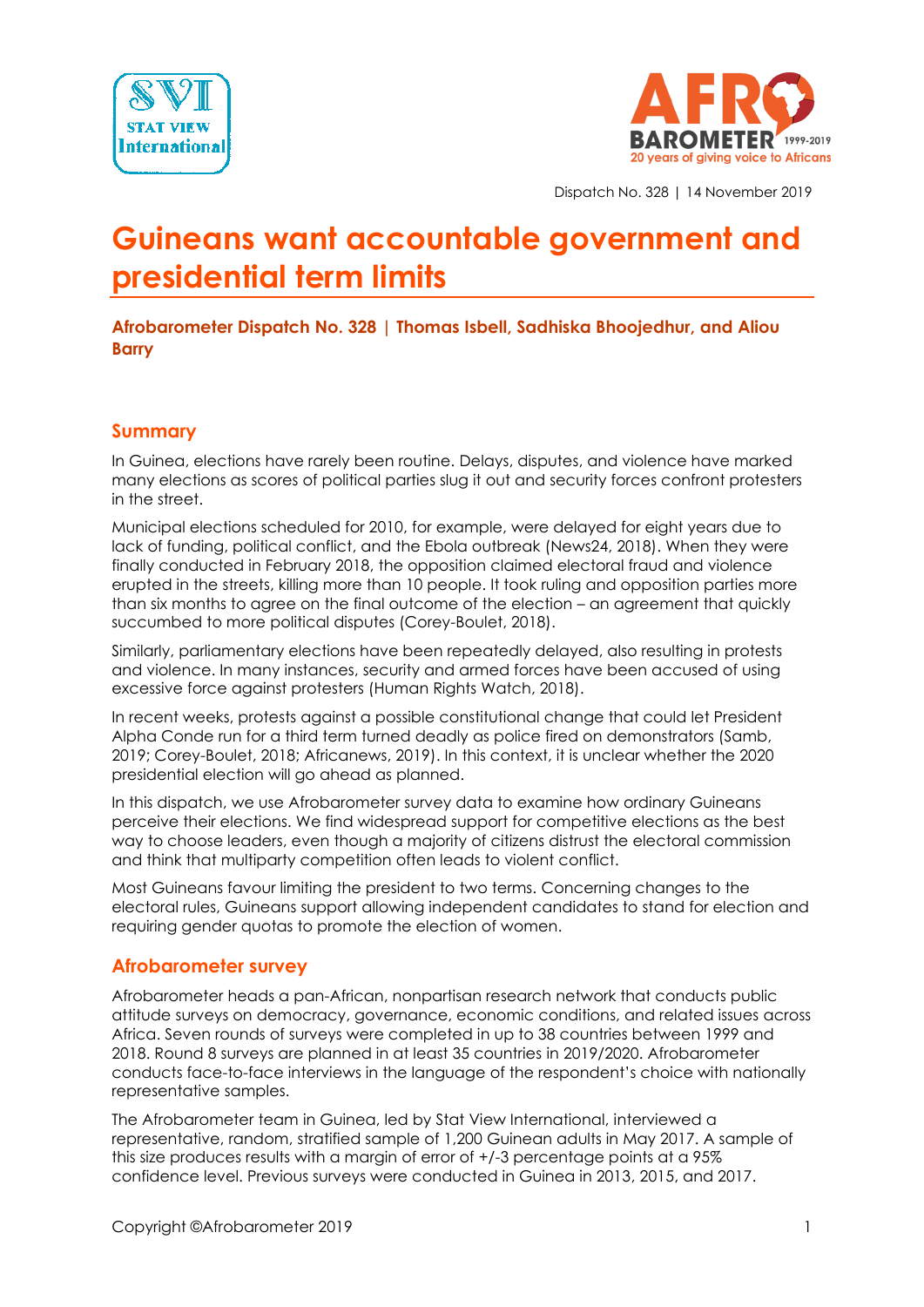



Dispatch No. 328 | 14 November 2019

# **Guineans want accountable government and presidential term limits**

**Afrobarometer Dispatch No. 328 | Thomas Isbell, Sadhiska Bhoojedhur, and Aliou Barry**

#### **Summary**

In Guinea, elections have rarely been routine. Delays, disputes, and violence have marked many elections as scores of political parties slug it out and security forces confront protesters in the street.

Municipal elections scheduled for 2010, for example, were delayed for eight years due to lack of funding, political conflict, and the Ebola outbreak (News24, 2018). When they were finally conducted in February 2018, the opposition claimed electoral fraud and violence erupted in the streets, killing more than 10 people. It took ruling and opposition parties more than six months to agree on the final outcome of the election – an agreement that quickly succumbed to more political disputes (Corey-Boulet, 2018).

Similarly, parliamentary elections have been repeatedly delayed, also resulting in protests and violence. In many instances, security and armed forces have been accused of using excessive force against protesters (Human Rights Watch, 2018).

In recent weeks, protests against a possible constitutional change that could let President Alpha Conde run for a third term turned deadly as police fired on demonstrators (Samb, 2019; Corey-Boulet, 2018; Africanews, 2019). In this context, it is unclear whether the 2020 presidential election will go ahead as planned.

In this dispatch, we use Afrobarometer survey data to examine how ordinary Guineans perceive their elections. We find widespread support for competitive elections as the best way to choose leaders, even though a majority of citizens distrust the electoral commission and think that multiparty competition often leads to violent conflict.

Most Guineans favour limiting the president to two terms. Concerning changes to the electoral rules, Guineans support allowing independent candidates to stand for election and requiring gender quotas to promote the election of women.

#### **Afrobarometer survey**

Afrobarometer heads a pan-African, nonpartisan research network that conducts public attitude surveys on democracy, governance, economic conditions, and related issues across Africa. Seven rounds of surveys were completed in up to 38 countries between 1999 and 2018. Round 8 surveys are planned in at least 35 countries in 2019/2020. Afrobarometer conducts face-to-face interviews in the language of the respondent's choice with nationally representative samples.

The Afrobarometer team in Guinea, led by Stat View International, interviewed a representative, random, stratified sample of 1,200 Guinean adults in May 2017. A sample of this size produces results with a margin of error of +/-3 percentage points at a 95% confidence level. Previous surveys were conducted in Guinea in 2013, 2015, and 2017.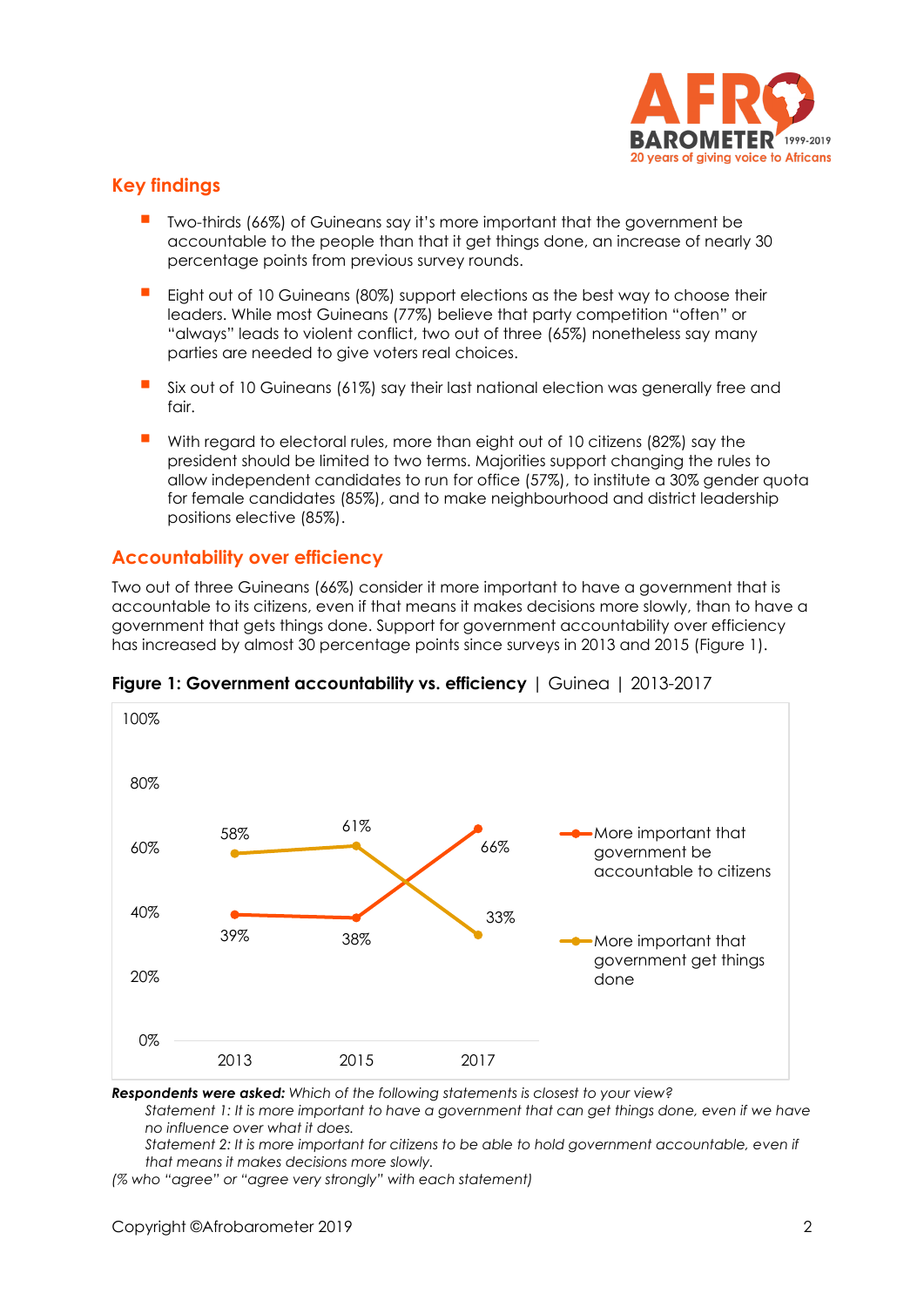

## **Key findings**

- Two-thirds (66%) of Guineans say it's more important that the government be accountable to the people than that it get things done, an increase of nearly 30 percentage points from previous survey rounds.
- Eight out of 10 Guineans (80%) support elections as the best way to choose their leaders. While most Guineans (77%) believe that party competition "often" or "always" leads to violent conflict, two out of three (65%) nonetheless say many parties are needed to give voters real choices.
- Six out of 10 Guineans (61%) say their last national election was generally free and  $f$ nir
- With regard to electoral rules, more than eight out of 10 citizens (82%) say the president should be limited to two terms. Majorities support changing the rules to allow independent candidates to run for office (57%), to institute a 30% gender quota for female candidates (85%), and to make neighbourhood and district leadership positions elective (85%).

## **Accountability over efficiency**

Two out of three Guineans (66%) consider it more important to have a government that is accountable to its citizens, even if that means it makes decisions more slowly, than to have a government that gets things done. Support for government accountability over efficiency has increased by almost 30 percentage points since surveys in 2013 and 2015 (Figure 1).



**Figure 1: Government accountability vs. efficiency** | Guinea | 2013-2017

*Respondents were asked: Which of the following statements is closest to your view?*

*Statement 1: It is more important to have a government that can get things done, even if we have no influence over what it does.*

*Statement 2: It is more important for citizens to be able to hold government accountable, even if that means it makes decisions more slowly.*

*(% who "agree" or "agree very strongly" with each statement)*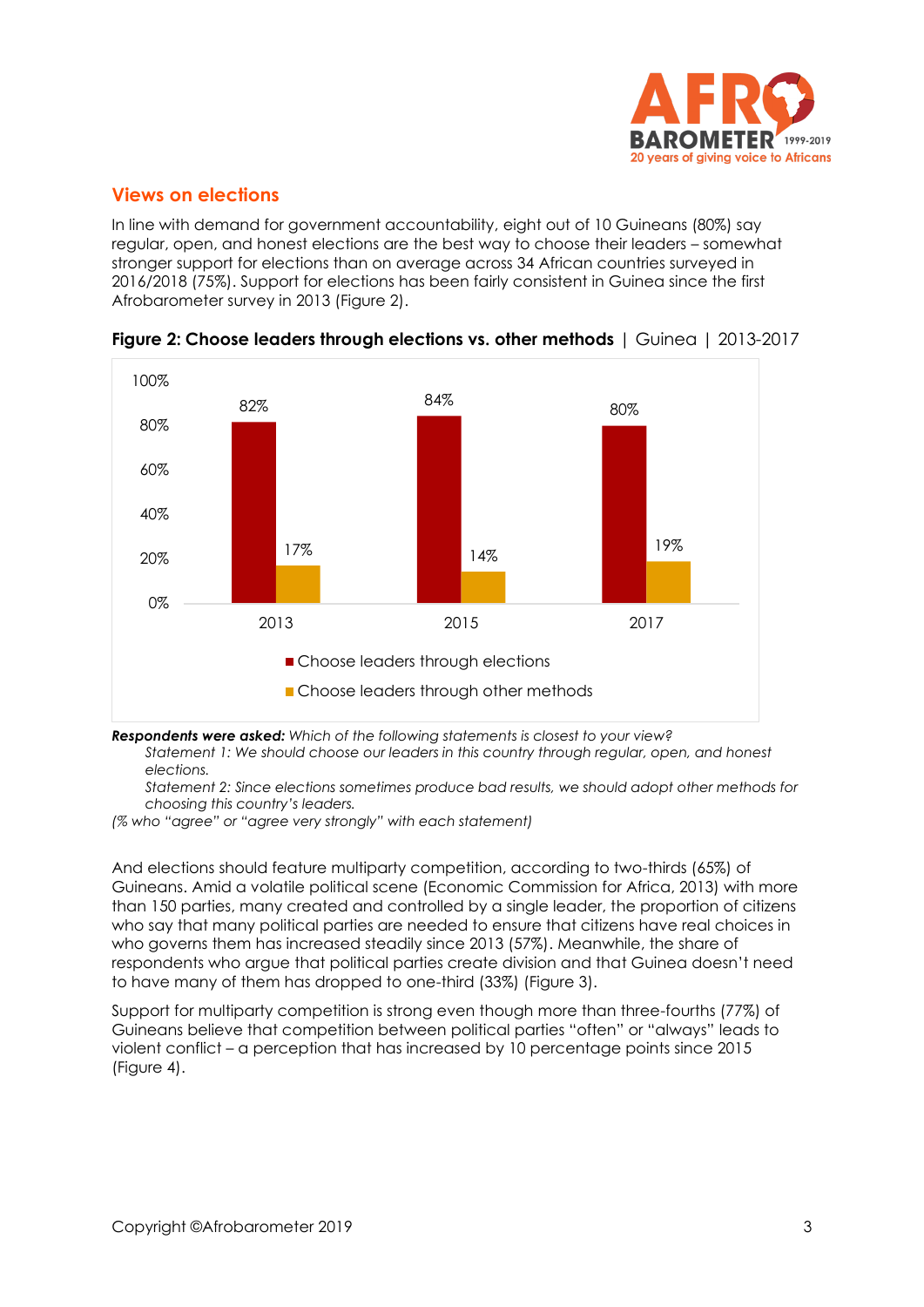

#### **Views on elections**

In line with demand for government accountability, eight out of 10 Guineans (80%) say regular, open, and honest elections are the best way to choose their leaders – somewhat stronger support for elections than on average across 34 African countries surveyed in 2016/2018 (75%). Support for elections has been fairly consistent in Guinea since the first Afrobarometer survey in 2013 (Figure 2).



**Figure 2: Choose leaders through elections vs. other methods** | Guinea | 2013-2017

*Respondents were asked: Which of the following statements is closest to your view?*

*Statement 1: We should choose our leaders in this country through regular, open, and honest elections.* 

*Statement 2: Since elections sometimes produce bad results, we should adopt other methods for choosing this country's leaders.*

*(% who "agree" or "agree very strongly" with each statement)*

And elections should feature multiparty competition, according to two-thirds (65%) of Guineans. Amid a volatile political scene (Economic Commission for Africa, 2013) with more than 150 parties, many created and controlled by a single leader, the proportion of citizens who say that many political parties are needed to ensure that citizens have real choices in who governs them has increased steadily since 2013 (57%). Meanwhile, the share of respondents who argue that political parties create division and that Guinea doesn't need to have many of them has dropped to one-third (33%) (Figure 3).

Support for multiparty competition is strong even though more than three-fourths (77%) of Guineans believe that competition between political parties "often" or "always" leads to violent conflict – a perception that has increased by 10 percentage points since 2015 (Figure 4).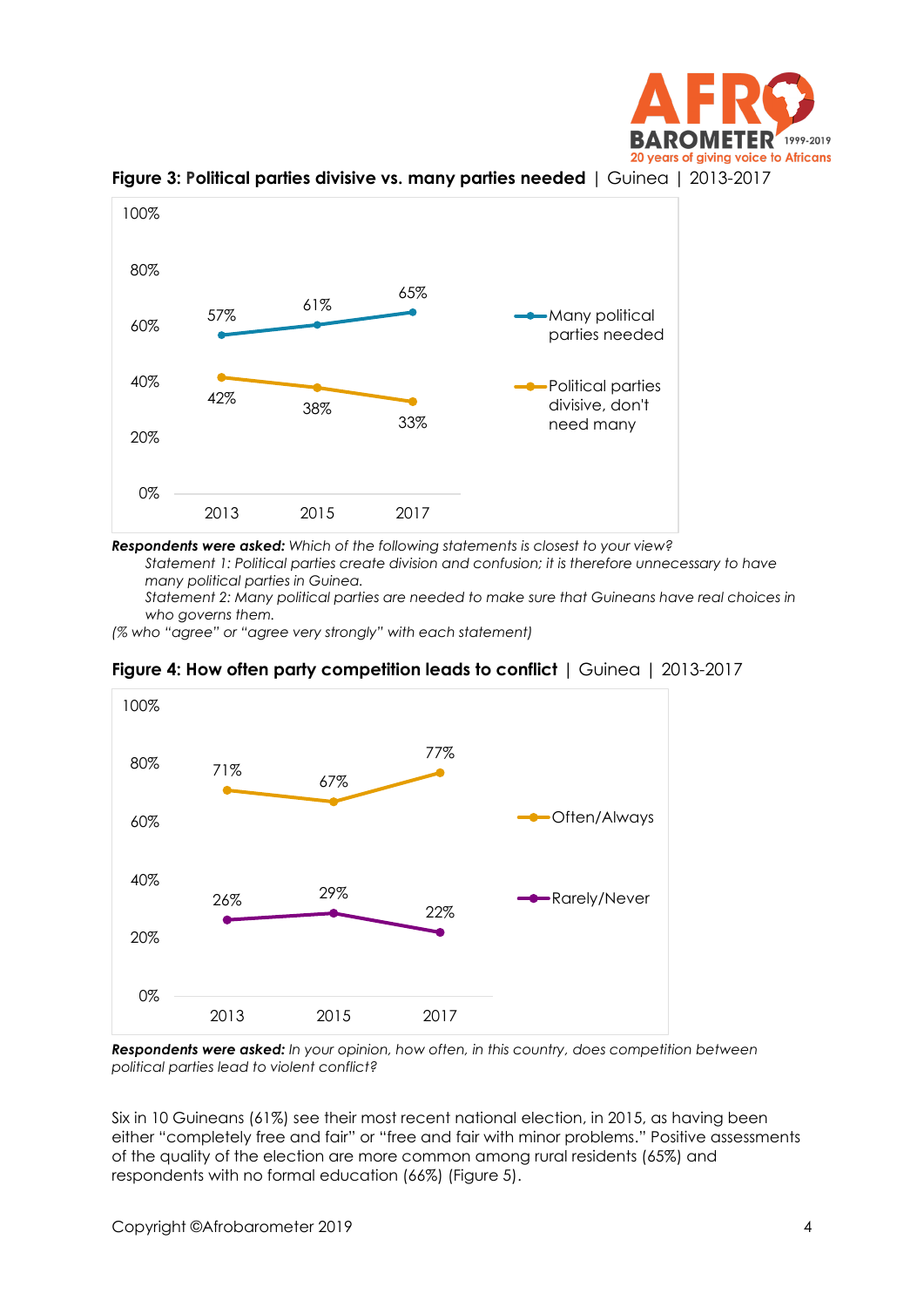



**Figure 3: Political parties divisive vs. many parties needed** | Guinea | 2013-2017

*Respondents were asked: Which of the following statements is closest to your view?*

*Statement 1: Political parties create division and confusion; it is therefore unnecessary to have many political parties in Guinea.*

*Statement 2: Many political parties are needed to make sure that Guineans have real choices in who governs them.*

*(% who "agree" or "agree very strongly" with each statement)*



**Figure 4: How often party competition leads to conflict** | Guinea | 2013-2017

*Respondents were asked: In your opinion, how often, in this country, does competition between political parties lead to violent conflict?*

Six in 10 Guineans (61%) see their most recent national election, in 2015, as having been either "completely free and fair" or "free and fair with minor problems." Positive assessments of the quality of the election are more common among rural residents (65%) and respondents with no formal education (66%) (Figure 5).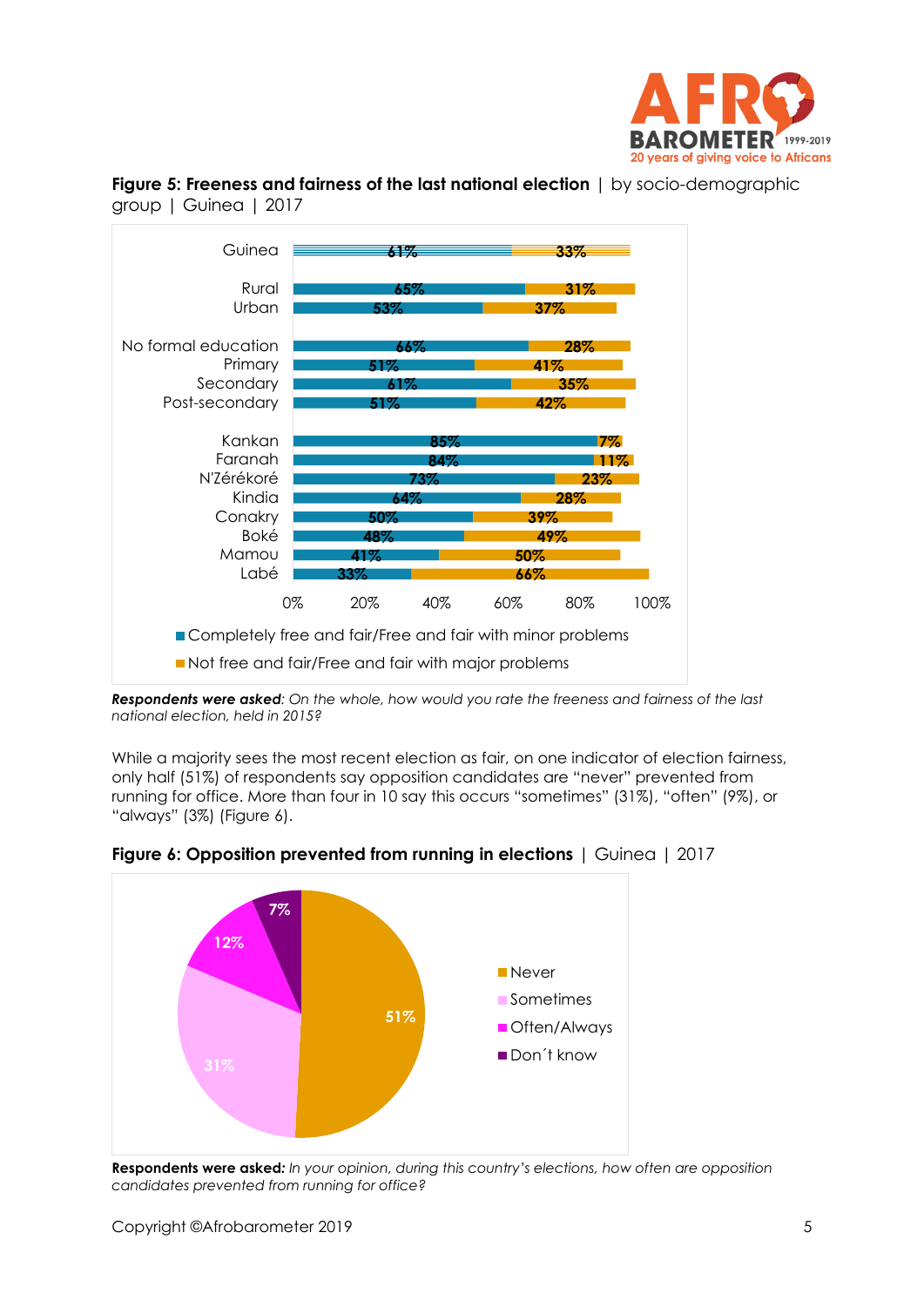



**Figure 5: Freeness and fairness of the last national election** | by socio-demographic group | Guinea | 2017

While a majority sees the most recent election as fair, on one indicator of election fairness, only half (51%) of respondents say opposition candidates are "never" prevented from running for office. More than four in 10 say this occurs "sometimes" (31%), "often" (9%), or "always" (3%) (Figure 6).



**Figure 6: Opposition prevented from running in elections** | Guinea | 2017

**Respondents were asked***: In your opinion, during this country's elections, how often are opposition candidates prevented from running for office?*

*Respondents were asked: On the whole, how would you rate the freeness and fairness of the last national election, held in 2015?*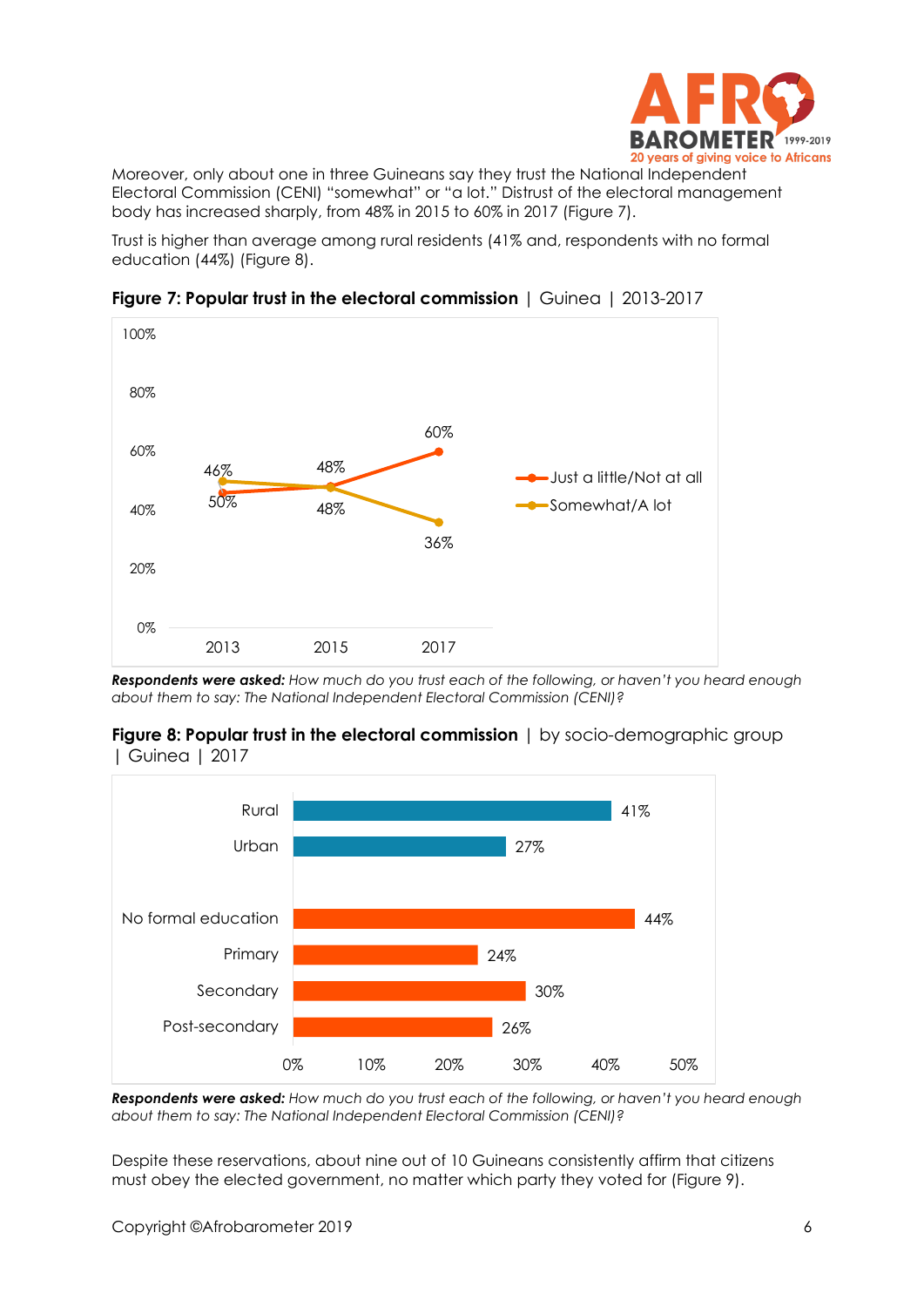

Moreover, only about one in three Guineans say they trust the National Independent Electoral Commission (CENI) "somewhat" or "a lot." Distrust of the electoral management body has increased sharply, from 48% in 2015 to 60% in 2017 (Figure 7).

Trust is higher than average among rural residents (41% and, respondents with no formal education (44%) (Figure 8).



**Figure 7: Popular trust in the electoral commission** | Guinea | 2013-2017

*Respondents were asked: How much do you trust each of the following, or haven't you heard enough about them to say: The National Independent Electoral Commission (CENI)?*





*Respondents were asked: How much do you trust each of the following, or haven't you heard enough about them to say: The National Independent Electoral Commission (CENI)?*

Despite these reservations, about nine out of 10 Guineans consistently affirm that citizens must obey the elected government, no matter which party they voted for (Figure 9).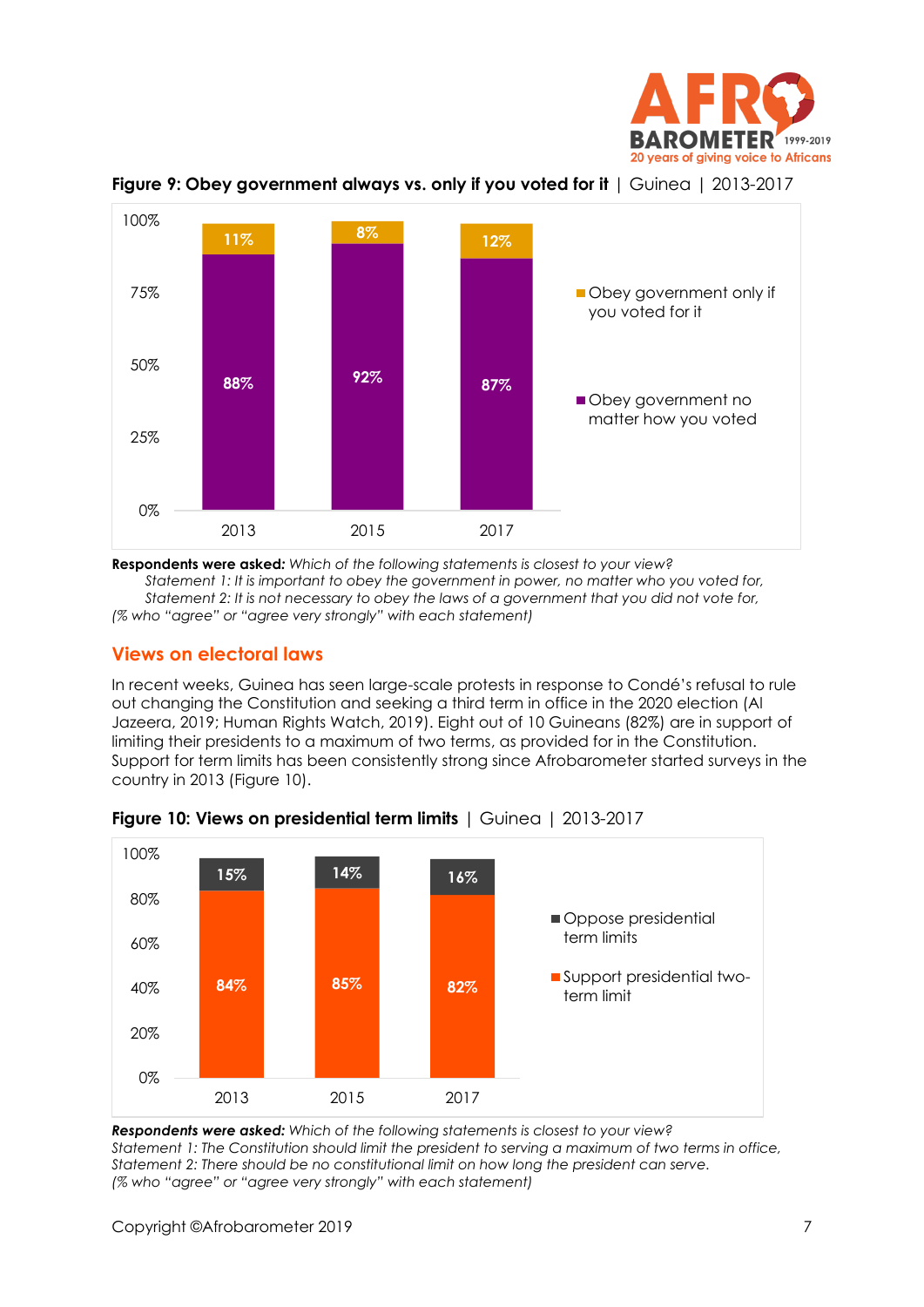



**Figure 9: Obey government always vs. only if you voted for it** | Guinea | 2013-2017

**Respondents were asked***: Which of the following statements is closest to your view? Statement 1: It is important to obey the government in power, no matter who you voted for, Statement 2: It is not necessary to obey the laws of a government that you did not vote for, (% who "agree" or "agree very strongly" with each statement)*

## **Views on electoral laws**

In recent weeks, Guinea has seen large-scale protests in response to Condé's refusal to rule out changing the Constitution and seeking a third term in office in the 2020 election (Al Jazeera, 2019; Human Rights Watch, 2019). Eight out of 10 Guineans (82%) are in support of limiting their presidents to a maximum of two terms, as provided for in the Constitution. Support for term limits has been consistently strong since Afrobarometer started surveys in the country in 2013 (Figure 10).



**Figure 10: Views on presidential term limits** | Guinea | 2013-2017

*Respondents were asked: Which of the following statements is closest to your view? Statement 1: The Constitution should limit the president to serving a maximum of two terms in office, Statement 2: There should be no constitutional limit on how long the president can serve. (% who "agree" or "agree very strongly" with each statement)*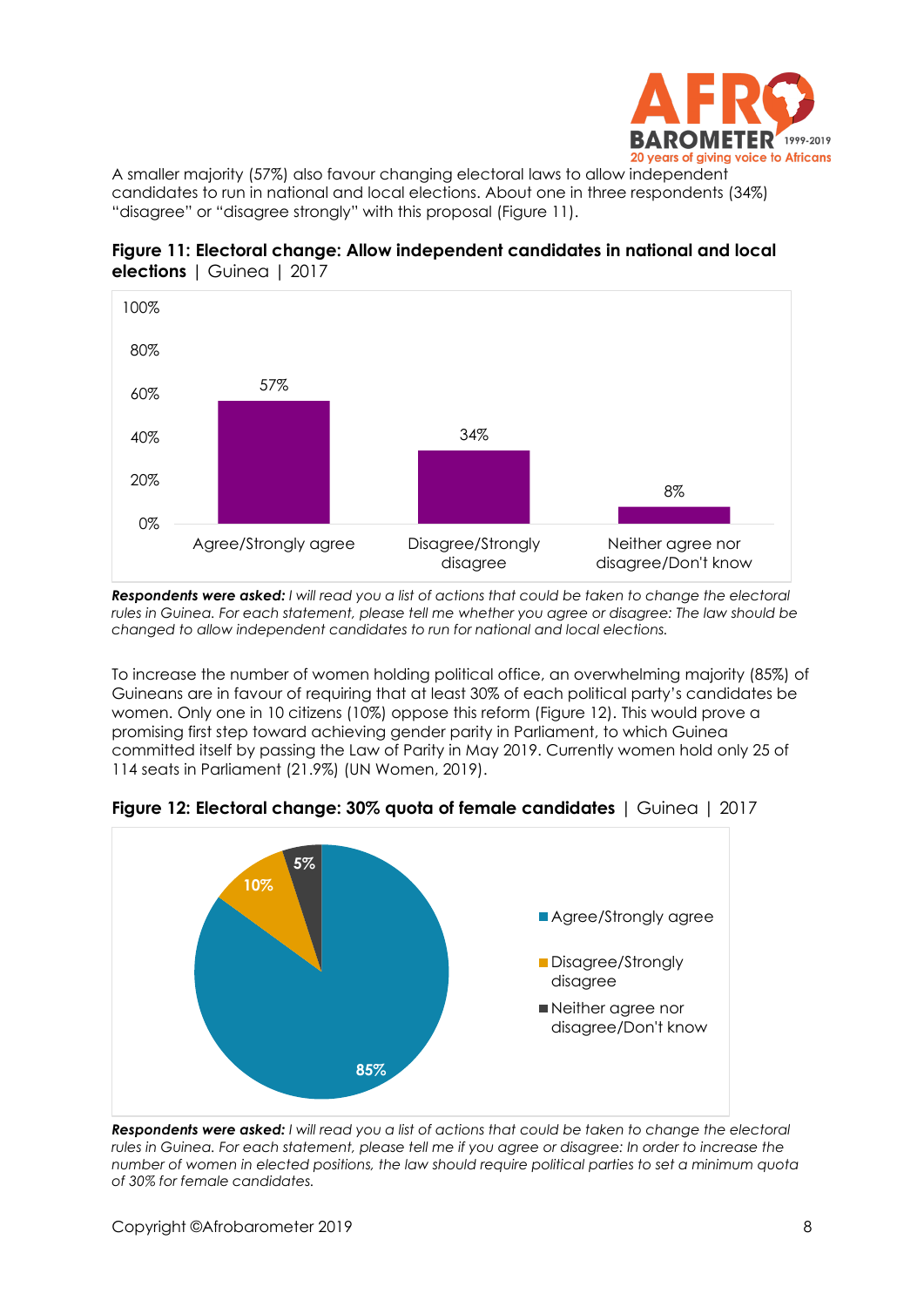

A smaller majority (57%) also favour changing electoral laws to allow independent candidates to run in national and local elections. About one in three respondents (34%) "disagree" or "disagree strongly" with this proposal (Figure 11).



**Figure 11: Electoral change: Allow independent candidates in national and local elections** | Guinea | 2017

*Respondents were asked: I will read you a list of actions that could be taken to change the electoral rules in Guinea. For each statement, please tell me whether you agree or disagree: The law should be changed to allow independent candidates to run for national and local elections.*

To increase the number of women holding political office, an overwhelming majority (85%) of Guineans are in favour of requiring that at least 30% of each political party's candidates be women. Only one in 10 citizens (10%) oppose this reform (Figure 12). This would prove a promising first step toward achieving gender parity in Parliament, to which Guinea committed itself by passing the Law of Parity in May 2019. Currently women hold only 25 of 114 seats in Parliament (21.9%) (UN Women, 2019).



**Figure 12: Electoral change: 30% quota of female candidates** | Guinea | 2017

*Respondents were asked: I will read you a list of actions that could be taken to change the electoral rules in Guinea. For each statement, please tell me if you agree or disagree: In order to increase the number of women in elected positions, the law should require political parties to set a minimum quota of 30% for female candidates.*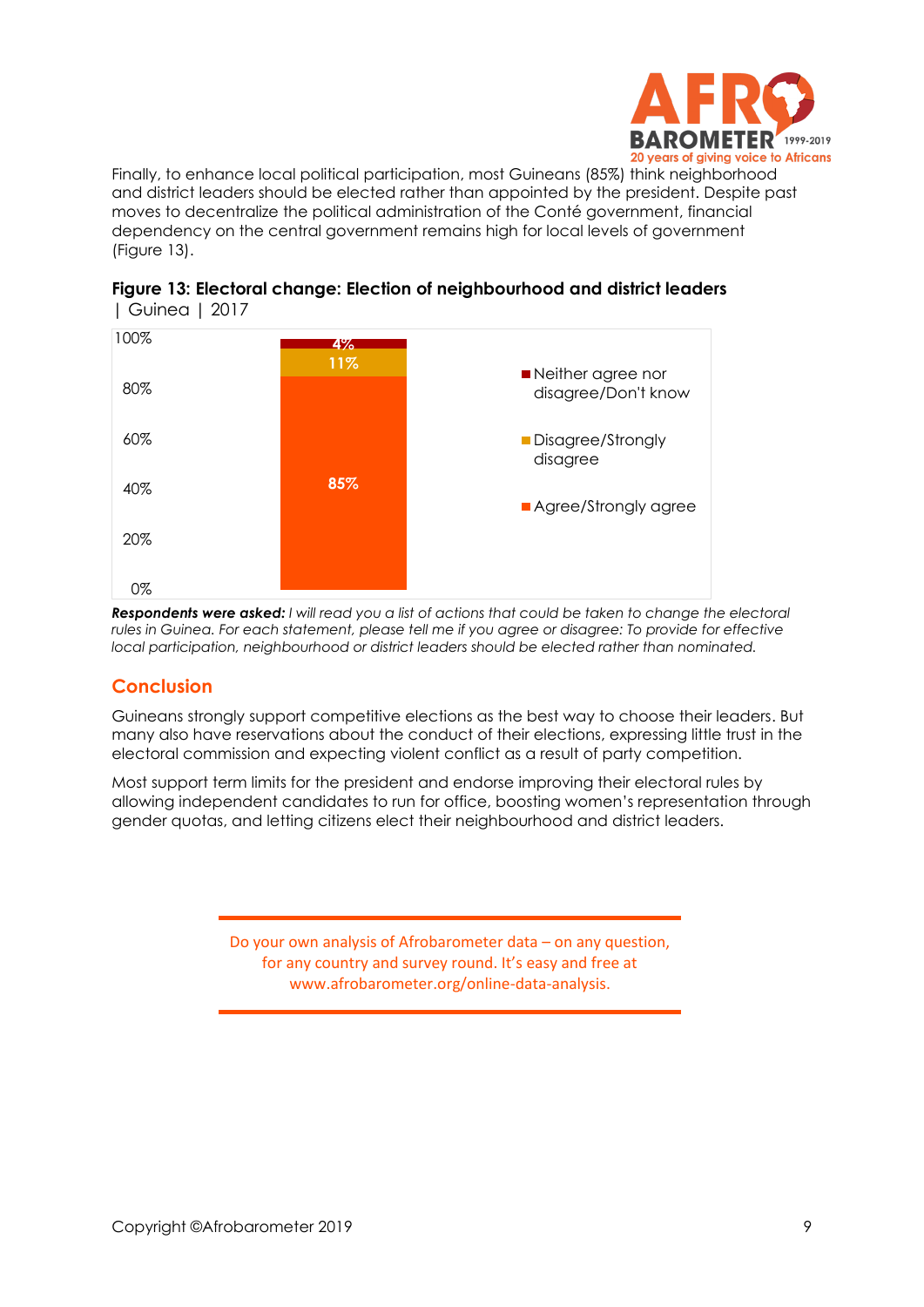

Finally, to enhance local political participation, most Guineans (85%) think neighborhood and district leaders should be elected rather than appointed by the president. Despite past moves to decentralize the political administration of the Conté government, financial dependency on the central government remains high for local levels of government (Figure 13).



|               |  |  | Figure 13: Electoral change: Election of neighbourhood and district leaders |
|---------------|--|--|-----------------------------------------------------------------------------|
| Guinea   2017 |  |  |                                                                             |

*Respondents were asked: I will read you a list of actions that could be taken to change the electoral rules in Guinea. For each statement, please tell me if you agree or disagree: To provide for effective local participation, neighbourhood or district leaders should be elected rather than nominated.*

## **Conclusion**

Guineans strongly support competitive elections as the best way to choose their leaders. But many also have reservations about the conduct of their elections, expressing little trust in the electoral commission and expecting violent conflict as a result of party competition.

Most support term limits for the president and endorse improving their electoral rules by allowing independent candidates to run for office, boosting women's representation through gender quotas, and letting citizens elect their neighbourhood and district leaders.

> Do your own analysis of Afrobarometer data – on any question, for any country and survey round. It's easy and free at www.afrobarometer.org/online-data-analysis.